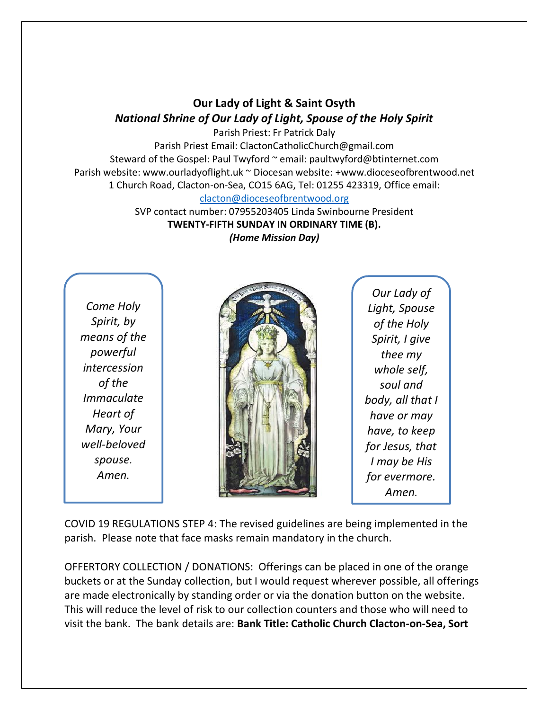## **Our Lady of Light & Saint Osyth** *National Shrine of Our Lady of Light, Spouse of the Holy Spirit*

Parish Priest: Fr Patrick Daly Parish Priest Email: ClactonCatholicChurch@gmail.com Steward of the Gospel: Paul Twyford ~ email: paultwyford@btinternet.com Parish website: www.ourladyoflight.uk ~ Diocesan website: +www.dioceseofbrentwood.net 1 Church Road, Clacton-on-Sea, CO15 6AG, Tel: 01255 423319, Office email: [clacton@dioceseofbrentwood.org](mailto:clacton@dioceseofbrentwood.org)

> SVP contact number: 07955203405 Linda Swinbourne President **TWENTY-FIFTH SUNDAY IN ORDINARY TIME (B).** *(Home Mission Day)*

*Come Holy Spirit, by means of the powerful intercession of the Immaculate Heart of Mary, Your well-beloved spouse. Amen.*



*Our Lady of Light, Spouse of the Holy Spirit, I give thee my whole self, soul and body, all that I have or may have, to keep for Jesus, that I may be His for evermore. Amen.*

COVID 19 REGULATIONS STEP 4: The revised guidelines are being implemented in the parish. Please note that face masks remain mandatory in the church.

OFFERTORY COLLECTION / DONATIONS: Offerings can be placed in one of the orange buckets or at the Sunday collection, but I would request wherever possible, all offerings are made electronically by standing order or via the donation button on the website. This will reduce the level of risk to our collection counters and those who will need to visit the bank. The bank details are: **Bank Title: Catholic Church Clacton-on-Sea, Sort**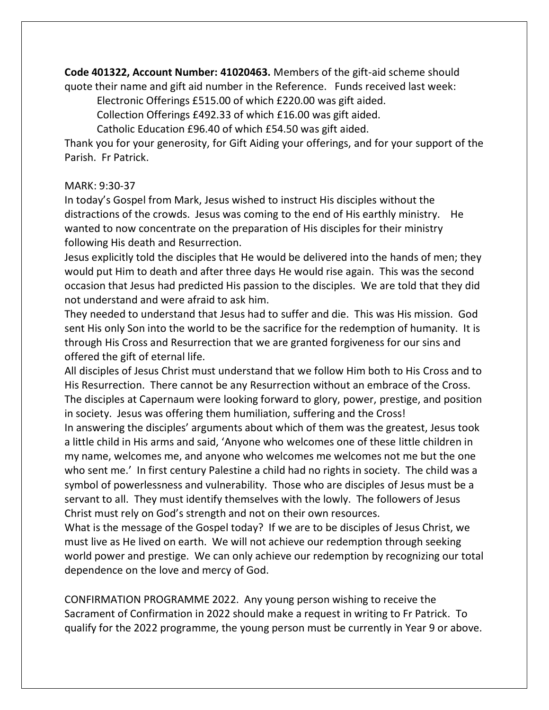**Code 401322, Account Number: 41020463.** Members of the gift-aid scheme should quote their name and gift aid number in the Reference. Funds received last week:

Electronic Offerings £515.00 of which £220.00 was gift aided.

Collection Offerings £492.33 of which £16.00 was gift aided.

Catholic Education £96.40 of which £54.50 was gift aided.

Thank you for your generosity, for Gift Aiding your offerings, and for your support of the Parish. Fr Patrick.

## MARK: 9:30-37

In today's Gospel from Mark, Jesus wished to instruct His disciples without the distractions of the crowds. Jesus was coming to the end of His earthly ministry. He wanted to now concentrate on the preparation of His disciples for their ministry following His death and Resurrection.

Jesus explicitly told the disciples that He would be delivered into the hands of men; they would put Him to death and after three days He would rise again. This was the second occasion that Jesus had predicted His passion to the disciples. We are told that they did not understand and were afraid to ask him.

They needed to understand that Jesus had to suffer and die. This was His mission. God sent His only Son into the world to be the sacrifice for the redemption of humanity. It is through His Cross and Resurrection that we are granted forgiveness for our sins and offered the gift of eternal life.

All disciples of Jesus Christ must understand that we follow Him both to His Cross and to His Resurrection. There cannot be any Resurrection without an embrace of the Cross. The disciples at Capernaum were looking forward to glory, power, prestige, and position in society. Jesus was offering them humiliation, suffering and the Cross!

In answering the disciples' arguments about which of them was the greatest, Jesus took a little child in His arms and said, 'Anyone who welcomes one of these little children in my name, welcomes me, and anyone who welcomes me welcomes not me but the one who sent me.' In first century Palestine a child had no rights in society. The child was a symbol of powerlessness and vulnerability. Those who are disciples of Jesus must be a servant to all. They must identify themselves with the lowly. The followers of Jesus Christ must rely on God's strength and not on their own resources.

What is the message of the Gospel today? If we are to be disciples of Jesus Christ, we must live as He lived on earth. We will not achieve our redemption through seeking world power and prestige. We can only achieve our redemption by recognizing our total dependence on the love and mercy of God.

CONFIRMATION PROGRAMME 2022. Any young person wishing to receive the Sacrament of Confirmation in 2022 should make a request in writing to Fr Patrick. To qualify for the 2022 programme, the young person must be currently in Year 9 or above.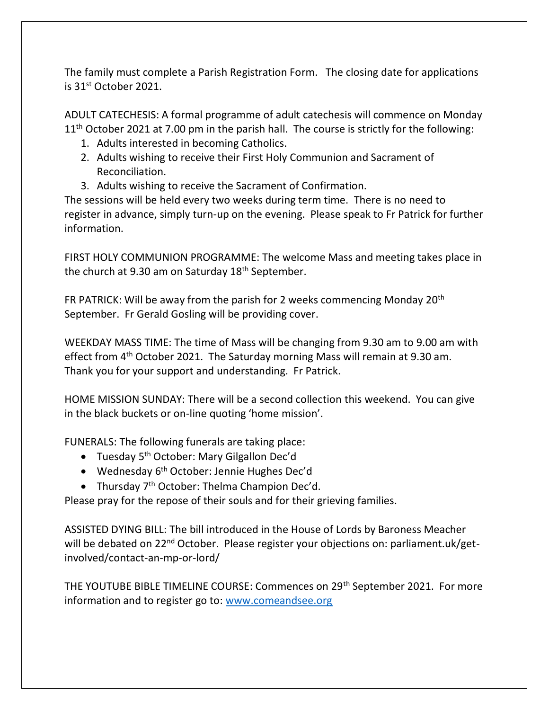The family must complete a Parish Registration Form. The closing date for applications is 31st October 2021.

ADULT CATECHESIS: A formal programme of adult catechesis will commence on Monday  $11<sup>th</sup>$  October 2021 at 7.00 pm in the parish hall. The course is strictly for the following:

- 1. Adults interested in becoming Catholics.
- 2. Adults wishing to receive their First Holy Communion and Sacrament of Reconciliation.
- 3. Adults wishing to receive the Sacrament of Confirmation.

The sessions will be held every two weeks during term time. There is no need to register in advance, simply turn-up on the evening. Please speak to Fr Patrick for further information.

FIRST HOLY COMMUNION PROGRAMME: The welcome Mass and meeting takes place in the church at 9.30 am on Saturday 18<sup>th</sup> September.

FR PATRICK: Will be away from the parish for 2 weeks commencing Monday 20th September. Fr Gerald Gosling will be providing cover.

WEEKDAY MASS TIME: The time of Mass will be changing from 9.30 am to 9.00 am with effect from 4<sup>th</sup> October 2021. The Saturday morning Mass will remain at 9.30 am. Thank you for your support and understanding. Fr Patrick.

HOME MISSION SUNDAY: There will be a second collection this weekend. You can give in the black buckets or on-line quoting 'home mission'.

FUNERALS: The following funerals are taking place:

- Tuesday 5<sup>th</sup> October: Mary Gilgallon Dec'd
- Wednesday 6<sup>th</sup> October: Jennie Hughes Dec'd
- Thursday  $7<sup>th</sup>$  October: Thelma Champion Dec'd.

Please pray for the repose of their souls and for their grieving families.

ASSISTED DYING BILL: The bill introduced in the House of Lords by Baroness Meacher will be debated on 22<sup>nd</sup> October. Please register your objections on: parliament.uk/getinvolved/contact-an-mp-or-lord/

THE YOUTUBE BIBLE TIMELINE COURSE: Commences on 29th September 2021. For more information and to register go to: [www.comeandsee.org](http://www.comeandsee.org/)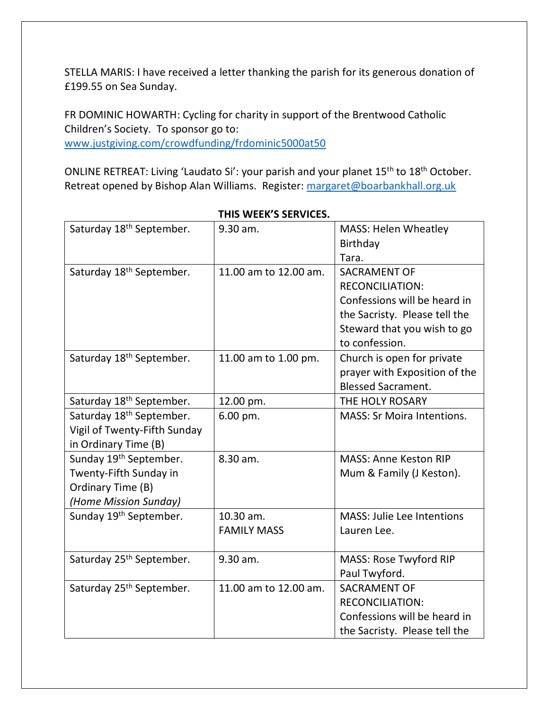STELLA MARIS: I have received a letter thanking the parish for its generous donation of £199.55 on Sea Sunday.

FR DOMINIC HOWARTH: Cycling for charity in support of the Brentwood Catholic Children's Society. To sponsor go to: [www.justgiving.com/crowdfunding/frdominic5000at50](http://www.justgiving.com/crowdfunding/frdominic5000at50)

ONLINE RETREAT: Living 'Laudato Si': your parish and your planet 15th to 18th October. Retreat opened by Bishop Alan Williams. Register: [margaret@boarbankhall.org.uk](mailto:margaret@boarbankhall.org.uk)

| Saturday 18 <sup>th</sup> September. | 9.30 am.              | <b>MASS: Helen Wheatley</b>       |
|--------------------------------------|-----------------------|-----------------------------------|
|                                      |                       | Birthday                          |
|                                      |                       | Tara.                             |
| Saturday 18 <sup>th</sup> September. | 11.00 am to 12.00 am. | <b>SACRAMENT OF</b>               |
|                                      |                       | <b>RECONCILIATION:</b>            |
|                                      |                       | Confessions will be heard in      |
|                                      |                       | the Sacristy. Please tell the     |
|                                      |                       | Steward that you wish to go       |
|                                      |                       | to confession.                    |
| Saturday 18 <sup>th</sup> September. | 11.00 am to 1.00 pm.  | Church is open for private        |
|                                      |                       | prayer with Exposition of the     |
|                                      |                       | <b>Blessed Sacrament.</b>         |
| Saturday 18 <sup>th</sup> September. | 12.00 pm.             | THE HOLY ROSARY                   |
| Saturday 18 <sup>th</sup> September. | 6.00 pm.              | <b>MASS: Sr Moira Intentions.</b> |
| Vigil of Twenty-Fifth Sunday         |                       |                                   |
| in Ordinary Time (B)                 |                       |                                   |
| Sunday 19th September.               | 8.30 am.              | <b>MASS: Anne Keston RIP</b>      |
| Twenty-Fifth Sunday in               |                       | Mum & Family (J Keston).          |
| Ordinary Time (B)                    |                       |                                   |
| (Home Mission Sunday)                |                       |                                   |
| Sunday 19 <sup>th</sup> September.   | 10.30 am.             | <b>MASS: Julie Lee Intentions</b> |
|                                      | <b>FAMILY MASS</b>    | Lauren Lee.                       |
|                                      |                       |                                   |
| Saturday 25 <sup>th</sup> September. | 9.30 am.              | MASS: Rose Twyford RIP            |
|                                      |                       | Paul Twyford.                     |
| Saturday 25 <sup>th</sup> September. | 11.00 am to 12.00 am. | <b>SACRAMENT OF</b>               |
|                                      |                       | <b>RECONCILIATION:</b>            |
|                                      |                       | Confessions will be heard in      |
|                                      |                       | the Sacristy. Please tell the     |

**THIS WEEK'S SERVICES.**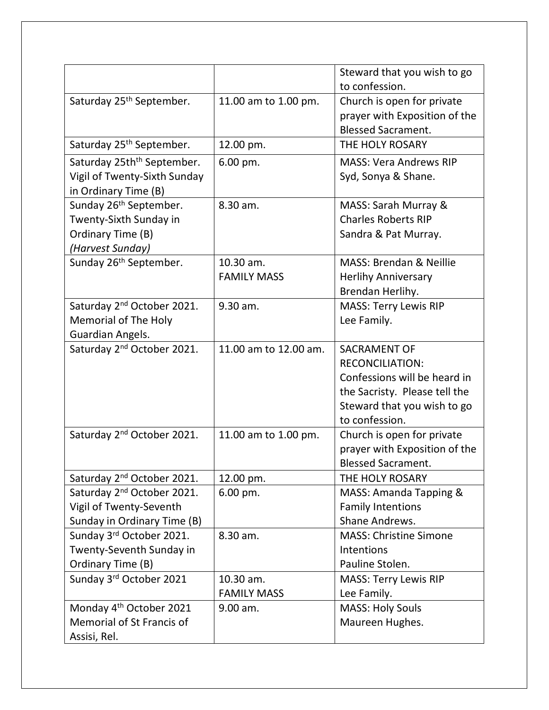|                                                                                                       |                                 | Steward that you wish to go<br>to confession.                                                                                                                   |
|-------------------------------------------------------------------------------------------------------|---------------------------------|-----------------------------------------------------------------------------------------------------------------------------------------------------------------|
| Saturday 25 <sup>th</sup> September.                                                                  | 11.00 am to 1.00 pm.            | Church is open for private<br>prayer with Exposition of the<br><b>Blessed Sacrament.</b>                                                                        |
| Saturday 25 <sup>th</sup> September.                                                                  | 12.00 pm.                       | THE HOLY ROSARY                                                                                                                                                 |
| Saturday 25th <sup>th</sup> September.<br>Vigil of Twenty-Sixth Sunday<br>in Ordinary Time (B)        | 6.00 pm.                        | <b>MASS: Vera Andrews RIP</b><br>Syd, Sonya & Shane.                                                                                                            |
| Sunday 26 <sup>th</sup> September.<br>Twenty-Sixth Sunday in<br>Ordinary Time (B)<br>(Harvest Sunday) | 8.30 am.                        | MASS: Sarah Murray &<br><b>Charles Roberts RIP</b><br>Sandra & Pat Murray.                                                                                      |
| Sunday 26 <sup>th</sup> September.                                                                    | 10.30 am.<br><b>FAMILY MASS</b> | <b>MASS: Brendan &amp; Neillie</b><br><b>Herlihy Anniversary</b><br>Brendan Herlihy.                                                                            |
| Saturday 2 <sup>nd</sup> October 2021.<br><b>Memorial of The Holy</b><br>Guardian Angels.             | 9.30 am.                        | <b>MASS: Terry Lewis RIP</b><br>Lee Family.                                                                                                                     |
| Saturday 2 <sup>nd</sup> October 2021.                                                                | 11.00 am to 12.00 am.           | <b>SACRAMENT OF</b><br><b>RECONCILIATION:</b><br>Confessions will be heard in<br>the Sacristy. Please tell the<br>Steward that you wish to go<br>to confession. |
| Saturday 2 <sup>nd</sup> October 2021.                                                                | 11.00 am to 1.00 pm.            | Church is open for private<br>prayer with Exposition of the<br><b>Blessed Sacrament.</b>                                                                        |
| Saturday 2 <sup>nd</sup> October 2021.                                                                | 12.00 pm.                       | THE HOLY ROSARY                                                                                                                                                 |
| Saturday 2 <sup>nd</sup> October 2021.<br>Vigil of Twenty-Seventh<br>Sunday in Ordinary Time (B)      | 6.00 pm.                        | MASS: Amanda Tapping &<br><b>Family Intentions</b><br>Shane Andrews.                                                                                            |
| Sunday 3rd October 2021.<br>Twenty-Seventh Sunday in<br>Ordinary Time (B)                             | 8.30 am.                        | <b>MASS: Christine Simone</b><br>Intentions<br>Pauline Stolen.                                                                                                  |
| Sunday 3rd October 2021                                                                               | 10.30 am.<br><b>FAMILY MASS</b> | <b>MASS: Terry Lewis RIP</b><br>Lee Family.                                                                                                                     |
| Monday 4 <sup>th</sup> October 2021<br>Memorial of St Francis of<br>Assisi, Rel.                      | 9.00 am.                        | <b>MASS: Holy Souls</b><br>Maureen Hughes.                                                                                                                      |